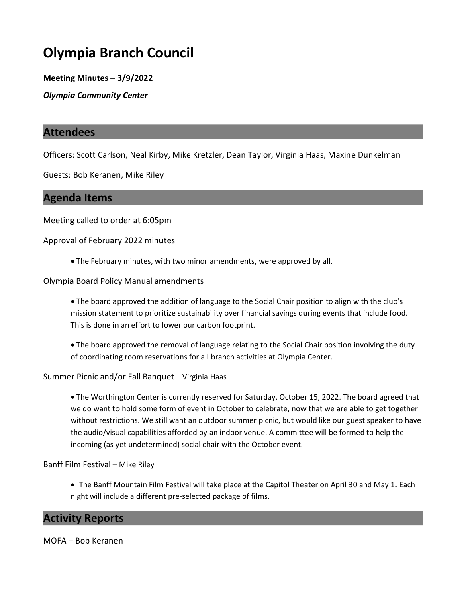# Olympia Branch Council

Meeting Minutes – 3/9/2022

Olympia Community Center

# Attendees

Officers: Scott Carlson, Neal Kirby, Mike Kretzler, Dean Taylor, Virginia Haas, Maxine Dunkelman

Guests: Bob Keranen, Mike Riley

# Agenda Items

Meeting called to order at 6:05pm

Approval of February 2022 minutes

· The February minutes, with two minor amendments, were approved by all.

#### Olympia Board Policy Manual amendments

- · The board approved the addition of language to the Social Chair position to align with the club's mission statement to prioritize sustainability over financial savings during events that include food. This is done in an effort to lower our carbon footprint.
- · The board approved the removal of language relating to the Social Chair position involving the duty of coordinating room reservations for all branch activities at Olympia Center.

Summer Picnic and/or Fall Banquet – Virginia Haas

· The Worthington Center is currently reserved for Saturday, October 15, 2022. The board agreed that we do want to hold some form of event in October to celebrate, now that we are able to get together without restrictions. We still want an outdoor summer picnic, but would like our guest speaker to have the audio/visual capabilities afforded by an indoor venue. A committee will be formed to help the incoming (as yet undetermined) social chair with the October event.

Banff Film Festival – Mike Riley

· The Banff Mountain Film Festival will take place at the Capitol Theater on April 30 and May 1. Each night will include a different pre-selected package of films.

# Activity Reports

MOFA – Bob Keranen